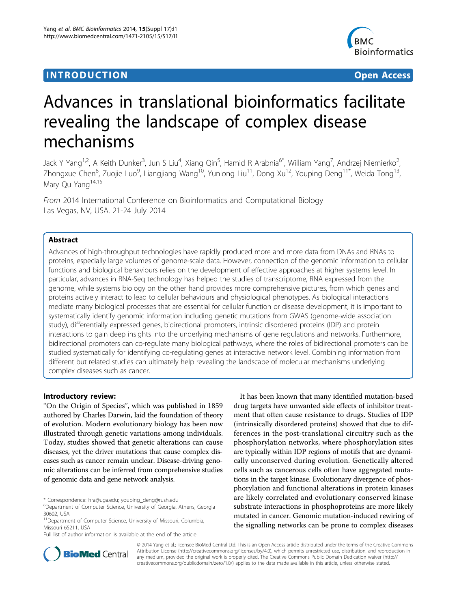# **INTRODUCTION**



# Advances in translational bioinformatics facilitate revealing the landscape of complex disease mechanisms

Jack Y Yang<sup>1,2</sup>, A Keith Dunker<sup>3</sup>, Jun S Liu<sup>4</sup>, Xiang Qin<sup>5</sup>, Hamid R Arabnia<sup>6\*</sup>, William Yang<sup>7</sup>, Andrzej Niemierko<sup>2</sup> .<br>ו Zhongxue Chen<sup>8</sup>, Zuojie Luo<sup>9</sup>, Liangjiang Wang<sup>10</sup>, Yunlong Liu<sup>11</sup>, Dong Xu<sup>12</sup>, Youping Deng<sup>11\*</sup>, Weida Tong<sup>13</sup>, Mary Ou Yang<sup>14,15</sup>

From 2014 International Conference on Bioinformatics and Computational Biology Las Vegas, NV, USA. 21-24 July 2014

# Abstract

Advances of high-throughput technologies have rapidly produced more and more data from DNAs and RNAs to proteins, especially large volumes of genome-scale data. However, connection of the genomic information to cellular functions and biological behaviours relies on the development of effective approaches at higher systems level. In particular, advances in RNA-Seq technology has helped the studies of transcriptome, RNA expressed from the genome, while systems biology on the other hand provides more comprehensive pictures, from which genes and proteins actively interact to lead to cellular behaviours and physiological phenotypes. As biological interactions mediate many biological processes that are essential for cellular function or disease development, it is important to systematically identify genomic information including genetic mutations from GWAS (genome-wide association study), differentially expressed genes, bidirectional promoters, intrinsic disordered proteins (IDP) and protein interactions to gain deep insights into the underlying mechanisms of gene regulations and networks. Furthermore, bidirectional promoters can co-regulate many biological pathways, where the roles of bidirectional promoters can be studied systematically for identifying co-regulating genes at interactive network level. Combining information from different but related studies can ultimately help revealing the landscape of molecular mechanisms underlying complex diseases such as cancer.

## Introductory review:

"On the Origin of Species", which was published in 1859 authored by Charles Darwin, laid the foundation of theory of evolution. Modern evolutionary biology has been now illustrated through genetic variations among individuals. Today, studies showed that genetic alterations can cause diseases, yet the driver mutations that cause complex diseases such as cancer remain unclear. Disease-driving genomic alterations can be inferred from comprehensive studies of genomic data and gene network analysis.

It has been known that many identified mutation-based drug targets have unwanted side effects of inhibitor treatment that often cause resistance to drugs. Studies of IDP (intrinsically disordered proteins) showed that due to differences in the post-translational circuitry such as the phosphorylation networks, where phosphorylation sites are typically within IDP regions of motifs that are dynamically unconserved during evolution. Genetically altered cells such as cancerous cells often have aggregated mutations in the target kinase. Evolutionary divergence of phosphorylation and functional alterations in protein kinases are likely correlated and evolutionary conserved kinase substrate interactions in phosphoproteins are more likely mutated in cancer. Genomic mutation-induced rewiring of the signalling networks can be prone to complex diseases



© 2014 Yang et al.; licensee BioMed Central Ltd. This is an Open Access article distributed under the terms of the Creative Commons Attribution License [\(http://creativecommons.org/licenses/by/4.0](http://creativecommons.org/licenses/by/4.0)), which permits unrestricted use, distribution, and reproduction in any medium, provided the original work is properly cited. The Creative Commons Public Domain Dedication waiver [\(http://](http://creativecommons.org/publicdomain/zero/1.0/) [creativecommons.org/publicdomain/zero/1.0/](http://creativecommons.org/publicdomain/zero/1.0/)) applies to the data made available in this article, unless otherwise stated.

<sup>\*</sup> Correspondence: [hra@uga.edu;](mailto:hra@uga.edu) [youping\\_deng@rush.edu](mailto:youping_deng@rush.edu)

<sup>6</sup> Department of Computer Science, University of Georgia, Athens, Georgia 30602, USA

<sup>&</sup>lt;sup>11</sup>Department of Computer Science, University of Missouri, Columbia, Missouri 65211, USA

Full list of author information is available at the end of the article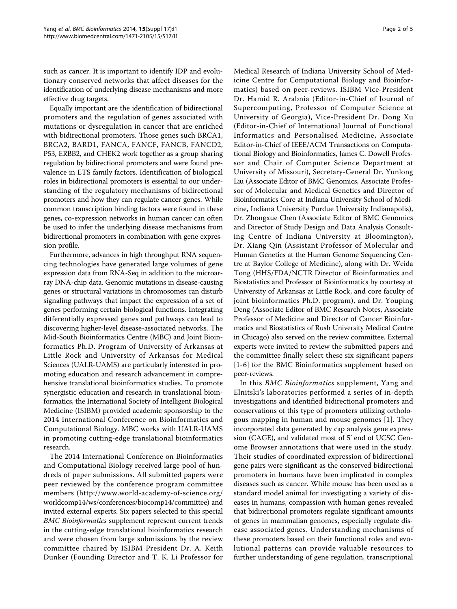such as cancer. It is important to identify IDP and evolutionary conserved networks that affect diseases for the identification of underlying disease mechanisms and more effective drug targets.

Equally important are the identification of bidirectional promoters and the regulation of genes associated with mutations or dysregulation in cancer that are enriched with bidirectional promoters. Those genes such BRCA1, BRCA2, BARD1, FANCA, FANCF, FANCB, FANCD2, P53, ERBB2, and CHEK2 work together as a group sharing regulation by bidirectional promoters and were found prevalence in ETS family factors. Identification of biological roles in bidirectional promoters is essential to our understanding of the regulatory mechanisms of bidirectional promoters and how they can regulate cancer genes. While common transcription binding factors were found in these genes, co-expression networks in human cancer can often be used to infer the underlying disease mechanisms from bidirectional promoters in combination with gene expression profile.

Furthermore, advances in high throughput RNA sequencing technologies have generated large volumes of gene expression data from RNA-Seq in addition to the microarray DNA-chip data. Genomic mutations in disease-causing genes or structural variations in chromosomes can disturb signaling pathways that impact the expression of a set of genes performing certain biological functions. Integrating differentially expressed genes and pathways can lead to discovering higher-level disease-associated networks. The Mid-South Bioinformatics Centre (MBC) and Joint Bioinformatics Ph.D. Program of University of Arkansas at Little Rock and University of Arkansas for Medical Sciences (UALR-UAMS) are particularly interested in promoting education and research advancement in comprehensive translational bioinformatics studies. To promote synergistic education and research in translational bioinformatics, the International Society of Intelligent Biological Medicine (ISIBM) provided academic sponsorship to the 2014 International Conference on Bioinformatics and Computational Biology. MBC works with UALR-UAMS in promoting cutting-edge translational bioinformatics research.

The 2014 International Conference on Bioinformatics and Computational Biology received large pool of hundreds of paper submissions. All submitted papers were peer reviewed by the conference program committee members ([http://www.world-academy-of-science.org/](http://www.world-academy-of-science.org/worldcomp14/ws/conferences/biocomp14/committee) [worldcomp14/ws/conferences/biocomp14/committee\)](http://www.world-academy-of-science.org/worldcomp14/ws/conferences/biocomp14/committee) and invited external experts. Six papers selected to this special BMC Bioinformatics supplement represent current trends in the cutting-edge translational bioinformatics research and were chosen from large submissions by the review committee chaired by ISIBM President Dr. A. Keith Dunker (Founding Director and T. K. Li Professor for Medical Research of Indiana University School of Medicine Centre for Computational Biology and Bioinformatics) based on peer-reviews. ISIBM Vice-President Dr. Hamid R. Arabnia (Editor-in-Chief of Journal of Supercomputing, Professor of Computer Science at University of Georgia), Vice-President Dr. Dong Xu (Editor-in-Chief of International Journal of Functional Informatics and Personalised Medicine, Associate Editor-in-Chief of IEEE/ACM Transactions on Computational Biology and Bioinformatics, James C. Dowell Professor and Chair of Computer Science Department at University of Missouri), Secretary-General Dr. Yunlong Liu (Associate Editor of BMC Genomics, Associate Professor of Molecular and Medical Genetics and Director of Bioinformatics Core at Indiana University School of Medicine, Indiana University Purdue University Indianapolis), Dr. Zhongxue Chen (Associate Editor of BMC Genomics and Director of Study Design and Data Analysis Consulting Centre of Indiana University at Bloomington), Dr. Xiang Qin (Assistant Professor of Molecular and Human Genetics at the Human Genome Sequencing Centre at Baylor College of Medicine), along with Dr. Weida Tong (HHS/FDA/NCTR Director of Bioinformatics and Biostatistics and Professor of Bioinformatics by courtesy at University of Arkansas at Little Rock, and core faculty of joint bioinformatics Ph.D. program), and Dr. Youping Deng (Associate Editor of BMC Research Notes, Associate Professor of Medicine and Director of Cancer Bioinformatics and Biostatistics of Rush University Medical Centre in Chicago) also served on the review committee. External experts were invited to review the submitted papers and the committee finally select these six significant papers [[1](#page-4-0)-[6\]](#page-4-0) for the BMC Bioinformatics supplement based on peer-reviews.

In this BMC Bioinformatics supplement, Yang and Elnitski's laboratories performed a series of in-depth investigations and identified bidirectional promoters and conservations of this type of promoters utilizing orthologous mapping in human and mouse genomes [[1\]](#page-4-0). They incorporated data generated by cap analysis gene expression (CAGE), and validated most of 5' end of UCSC Genome Browser annotations that were used in the study. Their studies of coordinated expression of bidirectional gene pairs were significant as the conserved bidirectional promoters in humans have been implicated in complex diseases such as cancer. While mouse has been used as a standard model animal for investigating a variety of diseases in humans, compassion with human genes revealed that bidirectional promoters regulate significant amounts of genes in mammalian genomes, especially regulate disease associated genes. Understanding mechanisms of these promoters based on their functional roles and evolutional patterns can provide valuable resources to further understanding of gene regulation, transcriptional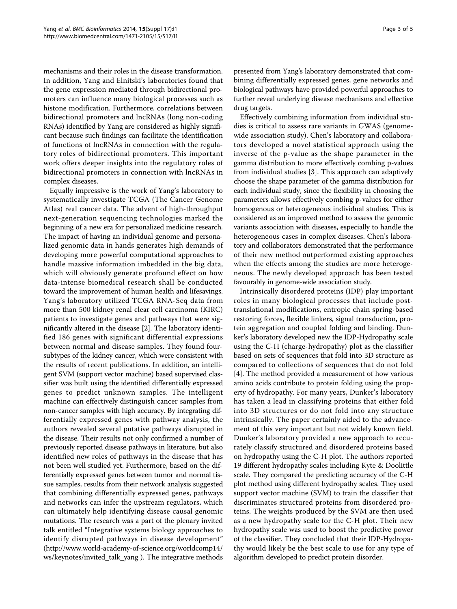mechanisms and their roles in the disease transformation. In addition, Yang and Elnitski's laboratories found that the gene expression mediated through bidirectional promoters can influence many biological processes such as histone modification. Furthermore, correlations between bidirectional promoters and lncRNAs (long non-coding RNAs) identified by Yang are considered as highly significant because such findings can facilitate the identification of functions of lncRNAs in connection with the regulatory roles of bidirectional promoters. This important work offers deeper insights into the regulatory roles of bidirectional promoters in connection with lncRNAs in complex diseases.

Equally impressive is the work of Yang's laboratory to systematically investigate TCGA (The Cancer Genome Atlas) real cancer data. The advent of high-throughput next-generation sequencing technologies marked the beginning of a new era for personalized medicine research. The impact of having an individual genome and personalized genomic data in hands generates high demands of developing more powerful computational approaches to handle massive information imbedded in the big data, which will obviously generate profound effect on how data-intense biomedical research shall be conducted toward the improvement of human health and lifesavings. Yang's laboratory utilized TCGA RNA-Seq data from more than 500 kidney renal clear cell carcinoma (KIRC) patients to investigate genes and pathways that were significantly altered in the disease [[2\]](#page-4-0). The laboratory identified 186 genes with significant differential expressions between normal and disease samples. They found foursubtypes of the kidney cancer, which were consistent with the results of recent publications. In addition, an intelligent SVM (support vector machine) based supervised classifier was built using the identified differentially expressed genes to predict unknown samples. The intelligent machine can effectively distinguish cancer samples from non-cancer samples with high accuracy. By integrating differentially expressed genes with pathway analysis, the authors revealed several putative pathways disrupted in the disease. Their results not only confirmed a number of previously reported disease pathways in literature, but also identified new roles of pathways in the disease that has not been well studied yet. Furthermore, based on the differentially expressed genes between tumor and normal tissue samples, results from their network analysis suggested that combining differentially expressed genes, pathways and networks can infer the upstream regulators, which can ultimately help identifying disease causal genomic mutations. The research was a part of the plenary invited talk entitled "Integrative systems biology approaches to identify disrupted pathways in disease development" ([http://www.world-academy-of-science.org/worldcomp14/](http://www.world-academy-of-science.org/worldcomp14/ws/keynotes/invited_talk_yang) [ws/keynotes/invited\\_talk\\_yang](http://www.world-academy-of-science.org/worldcomp14/ws/keynotes/invited_talk_yang) ). The integrative methods

presented from Yang's laboratory demonstrated that combining differentially expressed genes, gene networks and biological pathways have provided powerful approaches to further reveal underlying disease mechanisms and effective drug targets.

Effectively combining information from individual studies is critical to assess rare variants in GWAS (genomewide association study). Chen's laboratory and collaborators developed a novel statistical approach using the inverse of the p-value as the shape parameter in the gamma distribution to more effectively combing p-values from individual studies [\[3](#page-4-0)]. This approach can adaptively choose the shape parameter of the gamma distribution for each individual study, since the flexibility in choosing the parameters allows effectively combing p-values for either homogenous or heterogeneous individual studies. This is considered as an improved method to assess the genomic variants association with diseases, especially to handle the heterogeneous cases in complex diseases. Chen's laboratory and collaborators demonstrated that the performance of their new method outperformed existing approaches when the effects among the studies are more heterogeneous. The newly developed approach has been tested favourably in genome-wide association study.

Intrinsically disordered proteins (IDP) play important roles in many biological processes that include posttranslational modifications, entropic chain spring-based restoring forces, flexible linkers, signal transduction, protein aggregation and coupled folding and binding. Dunker's laboratory developed new the IDP-Hydropathy scale using the C-H (charge-hydropathy) plot as the classifier based on sets of sequences that fold into 3D structure as compared to collections of sequences that do not fold [[4\]](#page-4-0). The method provided a measurement of how various amino acids contribute to protein folding using the property of hydropathy. For many years, Dunker's laboratory has taken a lead in classifying proteins that either fold into 3D structures or do not fold into any structure intrinsically. The paper certainly aided to the advancement of this very important but not widely known field. Dunker's laboratory provided a new approach to accurately classify structured and disordered proteins based on hydropathy using the C-H plot. The authors reported 19 different hydropathy scales including Kyte & Doolittle scale. They compared the predicting accuracy of the C-H plot method using different hydropathy scales. They used support vector machine (SVM) to train the classifier that discriminates structured proteins from disordered proteins. The weights produced by the SVM are then used as a new hydropathy scale for the C-H plot. Their new hydropathy scale was used to boost the predictive power of the classifier. They concluded that their IDP-Hydropathy would likely be the best scale to use for any type of algorithm developed to predict protein disorder.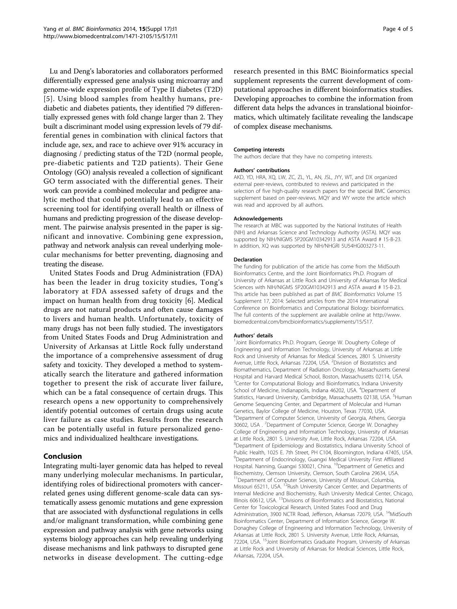Lu and Deng's laboratories and collaborators performed differentially expressed gene analysis using microarray and genome-wide expression profile of Type II diabetes (T2D) [[5](#page-4-0)]. Using blood samples from healthy humans, prediabetic and diabetes patients, they identified 79 differentially expressed genes with fold change larger than 2. They built a discriminant model using expression levels of 79 differential genes in combination with clinical factors that include age, sex, and race to achieve over 91% accuracy in diagnosing / predicting status of the T2D (normal people, pre-diabetic patients and T2D patients). Their Gene Ontology (GO) analysis revealed a collection of significant GO term associated with the differential genes. Their work can provide a combined molecular and pedigree analytic method that could potentially lead to an effective screening tool for identifying overall health or illness of humans and predicting progression of the disease development. The pairwise analysis presented in the paper is significant and innovative. Combining gene expression, pathway and network analysis can reveal underlying molecular mechanisms for better preventing, diagnosing and treating the disease.

United States Foods and Drug Administration (FDA) has been the leader in drug toxicity studies, Tong's laboratory at FDA assessed safety of drugs and the impact on human health from drug toxicity [\[6](#page-4-0)]. Medical drugs are not natural products and often cause damages to livers and human health. Unfortunately, toxicity of many drugs has not been fully studied. The investigators from United States Foods and Drug Administration and University of Arkansas at Little Rock fully understand the importance of a comprehensive assessment of drug safety and toxicity. They developed a method to systematically search the literature and gathered information together to present the risk of accurate liver failure, which can be a fatal consequence of certain drugs. This research opens a new opportunity to comprehensively identify potential outcomes of certain drugs using acute liver failure as case studies. Results from the research can be potentially useful in future personalized genomics and individualized healthcare investigations.

# Conclusion

Integrating multi-layer genomic data has helped to reveal many underlying molecular mechanisms. In particular, identifying roles of bidirectional promoters with cancerrelated genes using different genome-scale data can systematically assess genomic mutations and gene expression that are associated with dysfunctional regulations in cells and/or malignant transformation, while combining gene expression and pathway analysis with gene networks using systems biology approaches can help revealing underlying disease mechanisms and link pathways to disrupted gene networks in disease development. The cutting-edge research presented in this BMC Bioinformatics special supplement represents the current development of computational approaches in different bioinformatics studies. Developing approaches to combine the information from different data helps the advances in translational bioinformatics, which ultimately facilitate revealing the landscape of complex disease mechanisms.

#### Competing interests

The authors declare that they have no competing interests.

#### Authors' contributions

AKD, YD, HRA, XQ, LW, ZC, ZL, YL, AN, JSL, JYY, WT, and DX organized external peer-reviews, contributed to reviews and participated in the selection of five high-quality research papers for the special BMC Genomics supplement based on peer-reviews. MQY and WY wrote the article which was read and approved by all authors.

#### Acknowledgements

The research at MBC was supported by the National Institutes of Health (NIH) and Arkansas Science and Technology Authority (ASTA). MQY was supported by NIH/NIGMS 5P20GM10342913 and ASTA Award # 15-B-23. In addition, XQ was supported by NIH/NHGRI 5U54HG003273-11.

#### Declaration

The funding for publication of the article has come from the MidSouth Bioinformatics Centre, and the Joint Bioinformatics Ph.D. Program of University of Arkansas at Little Rock and University of Arkansas for Medical Sciences with NIH/NIGMS 5P20GM10342913 and ASTA award # 15-B-23. This article has been published as part of BMC Bioinformatics Volume 15 Supplement 17, 2014: Selected articles from the 2014 International Conference on Bioinformatics and Computational Biology: bioinformatics. The full contents of the supplement are available online at [http://www.](http://www.biomedcentral.com/bmcbioinformatics/supplements/15/S17) [biomedcentral.com/bmcbioinformatics/supplements/15/S17](http://www.biomedcentral.com/bmcbioinformatics/supplements/15/S17).

#### Authors' details <sup>1</sup>

<sup>1</sup>Joint Bioinformatics Ph.D. Program, George W. Dougherty College of Engineering and Information Technology, University of Arkansas at Little Rock and University of Arkansas for Medical Sciences, 2801 S. University Avenue, Little Rock, Arkansas 72204, USA. <sup>2</sup>Division of Biostatistics and Biomathematics, Department of Radiation Oncology, Massachusetts General Hospital and Harvard Medical School, Boston, Massachusetts 02114, USA. <sup>3</sup> Center for Computational Biology and Bioinformatics, Indiana University School of Medicine, Indianapolis, Indiana 46202, USA. <sup>4</sup>Department of Statistics, Harvard University, Cambridge, Massachusetts 02138, USA. <sup>5</sup>Human Genome Sequencing Center, and Department of Molecular and Human Genetics, Baylor College of Medicine, Houston, Texas 77030, USA. 6 Department of Computer Science, University of Georgia, Athens, Georgia 30602, USA . <sup>7</sup> Department of Computer Science, George W. Donaghey College of Engineering and Information Technology, University of Arkansas at Little Rock, 2801 S. University Ave, Little Rock, Arkansas 72204, USA. 8 Department of Epidemiology and Biostatistics, Indiana University School of Public Health, 1025 E. 7th Street, PH C104, Bloomington, Indiana 47405, USA. <sup>9</sup>Department of Endocrinology, Guangxi Medical University First Affiliated Hospital. Nanning, Guangxi 530021, China. <sup>10</sup>Department of Genetics and Biochemistry, Clemson University, Clemson, South Carolina 29634, USA. 11Department of Computer Science, University of Missouri, Columbia, Missouri 65211, USA. <sup>12</sup>Rush University Cancer Center, and Departments of Internal Medicine and Biochemistry, Rush University Medical Center, Chicago, Illinois 60612, USA. <sup>13</sup>Divisions of Bioinformatics and Biostatistics, National Center for Toxicological Research, United States Food and Drug Administration, 3900 NCTR Road, Jefferson, Arkansas 72079, USA. <sup>14</sup>MidSouth Bioinformatics Center, Department of Information Science, George W. Donaghey College of Engineering and Information Technology, University of Arkansas at Little Rock, 2801 S. University Avenue, Little Rock, Arkansas, 72204, USA. <sup>15</sup>Joint Bioinformatics Graduate Program, University of Arkansas at Little Rock and University of Arkansas for Medical Sciences, Little Rock, Arkansas, 72204, USA.